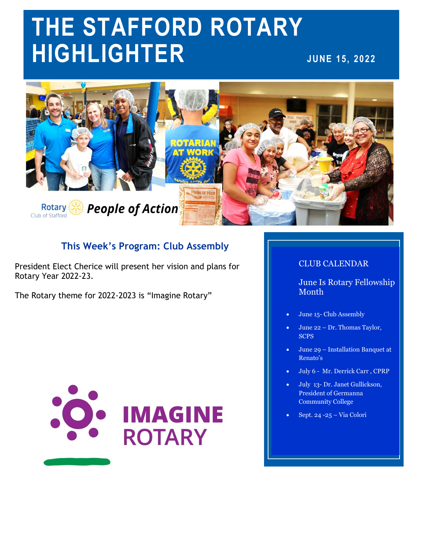# **THE STAFFORD ROTARY HIGHLIGHTER JUNE 15, 2022**



# **This Week's Program: Club Assembly**

President Elect Cherice will present her vision and plans for Rotary Year 2022-23.

The Rotary theme for 2022-2023 is "Imagine Rotary"



### CLUB CALENDAR

June Is Rotary Fellowship Month

- June 15- Club Assembly
- June 22 Dr. Thomas Taylor, **SCPS**
- June 29 Installation Banquet at Renato's
- July 6 Mr. Derrick Carr , CPRP
- July 13- Dr. Janet Gullickson, President of Germanna Community College
- Sept. 24 -25 Via Colori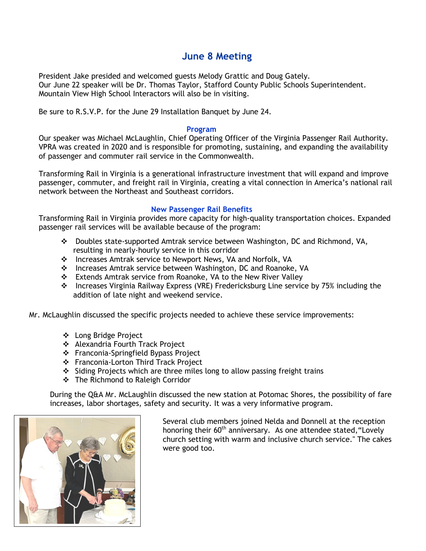# **June 8 Meeting**

President Jake presided and welcomed guests Melody Grattic and Doug Gately. Our June 22 speaker will be Dr. Thomas Taylor, Stafford County Public Schools Superintendent. Mountain View High School Interactors will also be in visiting.

Be sure to R.S.V.P. for the June 29 Installation Banquet by June 24.

#### **Program**

Our speaker was Michael McLaughlin, Chief Operating Officer of the Virginia Passenger Rail Authority. VPRA was created in 2020 and is responsible for promoting, sustaining, and expanding the availability of passenger and commuter rail service in the Commonwealth.

Transforming Rail in Virginia is a generational infrastructure investment that will expand and improve passenger, commuter, and freight rail in Virginia, creating a vital connection in America's national rail network between the Northeast and Southeast corridors.

#### **New Passenger Rail Benefits**

Transforming Rail in Virginia provides more capacity for high-quality transportation choices. Expanded passenger rail services will be available because of the program:

- Doubles state-supported Amtrak service between Washington, DC and Richmond, VA, resulting in nearly-hourly service in this corridor
- ❖ Increases Amtrak service to Newport News, VA and Norfolk, VA
- Increases Amtrak service between Washington, DC and Roanoke, VA
- Extends Amtrak service from Roanoke, VA to the New River Valley
- Increases Virginia Railway Express (VRE) Fredericksburg Line service by 75% including the addition of late night and weekend service.

Mr. McLaughlin discussed the specific projects needed to achieve these service improvements:

- Long Bridge Project
- Alexandria Fourth Track Project
- ❖ Franconia-Springfield Bypass Project
- ❖ Franconia-Lorton Third Track Project
- $\div$  Siding Projects which are three miles long to allow passing freight trains
- The Richmond to Raleigh Corridor

During the Q&A Mr. McLaughlin discussed the new station at Potomac Shores, the possibility of fare increases, labor shortages, safety and security. It was a very informative program.



Several club members joined Nelda and Donnell at the reception honoring their  $60<sup>th</sup>$  anniversary. As one attendee stated, "Lovely church setting with warm and inclusive church service." The cakes were good too.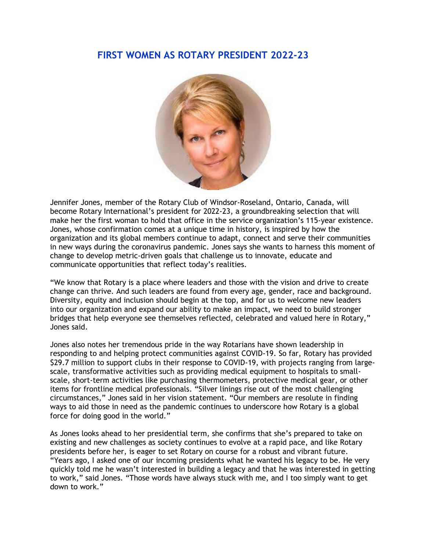## **FIRST WOMEN AS ROTARY PRESIDENT 2022-23**



Jennifer Jones, member of the Rotary Club of Windsor-Roseland, Ontario, Canada, will become Rotary International's president for 2022-23, a groundbreaking selection that will make her the first woman to hold that office in the service organization's 115-year existence. Jones, whose confirmation comes at a unique time in history, is inspired by how the organization and its global members continue to adapt, connect and serve their communities in new ways during the coronavirus pandemic. Jones says she wants to harness this moment of change to develop metric-driven goals that challenge us to innovate, educate and communicate opportunities that reflect today's realities.

"We know that Rotary is a place where leaders and those with the vision and drive to create change can thrive. And such leaders are found from every age, gender, race and background. Diversity, equity and inclusion should begin at the top, and for us to welcome new leaders into our organization and expand our ability to make an impact, we need to build stronger bridges that help everyone see themselves reflected, celebrated and valued here in Rotary," Jones said.

Jones also notes her tremendous pride in the way Rotarians have shown leadership in responding to and helping protect communities against COVID-19. So far, Rotary has provided \$29.7 million to support clubs in their response to COVID-19, with projects ranging from largescale, transformative activities such as providing medical equipment to hospitals to smallscale, short-term activities like purchasing thermometers, protective medical gear, or other items for frontline medical professionals. "Silver linings rise out of the most challenging circumstances," Jones said in her vision statement. "Our members are resolute in finding ways to aid those in need as the pandemic continues to underscore how Rotary is a global force for doing good in the world."

As Jones looks ahead to her presidential term, she confirms that she's prepared to take on existing and new challenges as society continues to evolve at a rapid pace, and like Rotary presidents before her, is eager to set Rotary on course for a robust and vibrant future. "Years ago, I asked one of our incoming presidents what he wanted his legacy to be. He very quickly told me he wasn't interested in building a legacy and that he was interested in getting to work," said Jones. "Those words have always stuck with me, and I too simply want to get down to work."